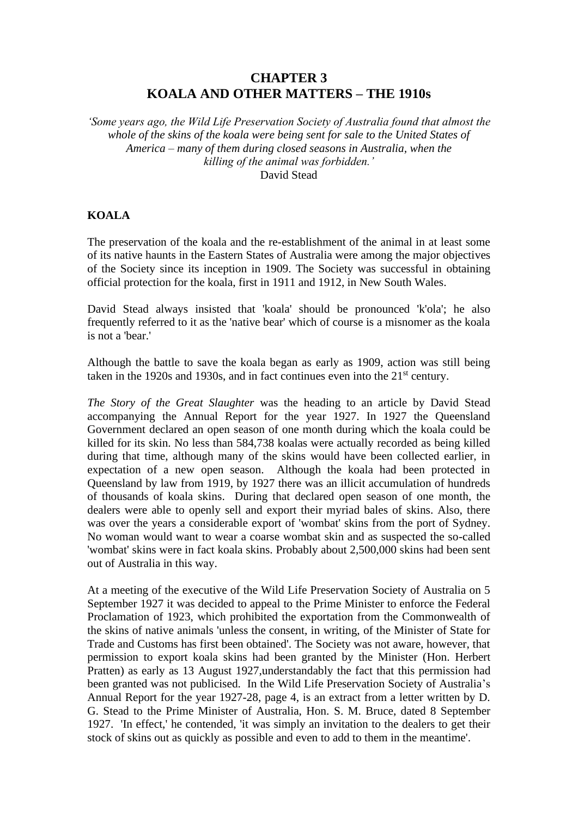# **CHAPTER 3 KOALA AND OTHER MATTERS – THE 1910s**

*'Some years ago, the Wild Life Preservation Society of Australia found that almost the whole of the skins of the koala were being sent for sale to the United States of America – many of them during closed seasons in Australia, when the killing of the animal was forbidden.'* David Stead

### **KOALA**

The preservation of the koala and the re-establishment of the animal in at least some of its native haunts in the Eastern States of Australia were among the major objectives of the Society since its inception in 1909. The Society was successful in obtaining official protection for the koala, first in 1911 and 1912, in New South Wales.

David Stead always insisted that 'koala' should be pronounced 'k'ola'; he also frequently referred to it as the 'native bear' which of course is a misnomer as the koala is not a 'bear.'

Although the battle to save the koala began as early as 1909, action was still being taken in the 1920s and 1930s, and in fact continues even into the 21<sup>st</sup> century.

*The Story of the Great Slaughter* was the heading to an article by David Stead accompanying the Annual Report for the year 1927. In 1927 the Queensland Government declared an open season of one month during which the koala could be killed for its skin. No less than 584,738 koalas were actually recorded as being killed during that time, although many of the skins would have been collected earlier, in expectation of a new open season. Although the koala had been protected in Queensland by law from 1919, by 1927 there was an illicit accumulation of hundreds of thousands of koala skins. During that declared open season of one month, the dealers were able to openly sell and export their myriad bales of skins. Also, there was over the years a considerable export of 'wombat' skins from the port of Sydney. No woman would want to wear a coarse wombat skin and as suspected the so-called 'wombat' skins were in fact koala skins. Probably about 2,500,000 skins had been sent out of Australia in this way.

At a meeting of the executive of the Wild Life Preservation Society of Australia on 5 September 1927 it was decided to appeal to the Prime Minister to enforce the Federal Proclamation of 1923, which prohibited the exportation from the Commonwealth of the skins of native animals 'unless the consent, in writing, of the Minister of State for Trade and Customs has first been obtained'. The Society was not aware, however, that permission to export koala skins had been granted by the Minister (Hon. Herbert Pratten) as early as 13 August 1927,understandably the fact that this permission had been granted was not publicised. In the Wild Life Preservation Society of Australia's Annual Report for the year 1927-28, page 4, is an extract from a letter written by D. G. Stead to the Prime Minister of Australia, Hon. S. M. Bruce, dated 8 September 1927. 'In effect,' he contended, 'it was simply an invitation to the dealers to get their stock of skins out as quickly as possible and even to add to them in the meantime'.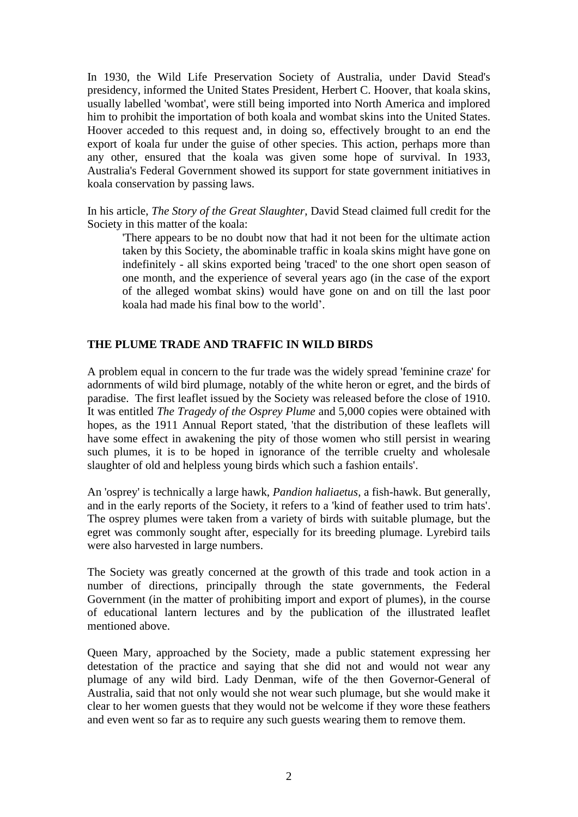In 1930, the Wild Life Preservation Society of Australia, under David Stead's presidency, informed the United States President, Herbert C. Hoover, that koala skins, usually labelled 'wombat', were still being imported into North America and implored him to prohibit the importation of both koala and wombat skins into the United States. Hoover acceded to this request and, in doing so, effectively brought to an end the export of koala fur under the guise of other species. This action, perhaps more than any other, ensured that the koala was given some hope of survival. In 1933, Australia's Federal Government showed its support for state government initiatives in koala conservation by passing laws.

In his article, *The Story of the Great Slaughter*, David Stead claimed full credit for the Society in this matter of the koala:

'There appears to be no doubt now that had it not been for the ultimate action taken by this Society, the abominable traffic in koala skins might have gone on indefinitely - all skins exported being 'traced' to the one short open season of one month, and the experience of several years ago (in the case of the export of the alleged wombat skins) would have gone on and on till the last poor koala had made his final bow to the world'.

### **THE PLUME TRADE AND TRAFFIC IN WILD BIRDS**

A problem equal in concern to the fur trade was the widely spread 'feminine craze' for adornments of wild bird plumage, notably of the white heron or egret, and the birds of paradise. The first leaflet issued by the Society was released before the close of 1910. It was entitled *The Tragedy of the Osprey Plume* and 5,000 copies were obtained with hopes, as the 1911 Annual Report stated, 'that the distribution of these leaflets will have some effect in awakening the pity of those women who still persist in wearing such plumes, it is to be hoped in ignorance of the terrible cruelty and wholesale slaughter of old and helpless young birds which such a fashion entails'.

An 'osprey' is technically a large hawk, *Pandion haliaetus*, a fish-hawk. But generally, and in the early reports of the Society, it refers to a 'kind of feather used to trim hats'. The osprey plumes were taken from a variety of birds with suitable plumage, but the egret was commonly sought after, especially for its breeding plumage. Lyrebird tails were also harvested in large numbers.

The Society was greatly concerned at the growth of this trade and took action in a number of directions, principally through the state governments, the Federal Government (in the matter of prohibiting import and export of plumes), in the course of educational lantern lectures and by the publication of the illustrated leaflet mentioned above.

Queen Mary, approached by the Society, made a public statement expressing her detestation of the practice and saying that she did not and would not wear any plumage of any wild bird. Lady Denman, wife of the then Governor-General of Australia, said that not only would she not wear such plumage, but she would make it clear to her women guests that they would not be welcome if they wore these feathers and even went so far as to require any such guests wearing them to remove them.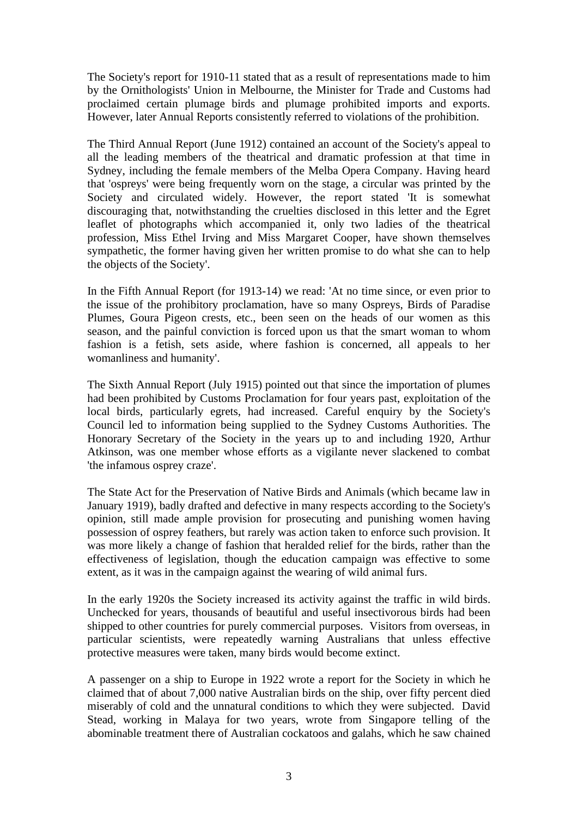The Society's report for 1910-11 stated that as a result of representations made to him by the Ornithologists' Union in Melbourne, the Minister for Trade and Customs had proclaimed certain plumage birds and plumage prohibited imports and exports. However, later Annual Reports consistently referred to violations of the prohibition.

The Third Annual Report (June 1912) contained an account of the Society's appeal to all the leading members of the theatrical and dramatic profession at that time in Sydney, including the female members of the Melba Opera Company. Having heard that 'ospreys' were being frequently worn on the stage, a circular was printed by the Society and circulated widely. However, the report stated 'It is somewhat discouraging that, notwithstanding the cruelties disclosed in this letter and the Egret leaflet of photographs which accompanied it, only two ladies of the theatrical profession, Miss Ethel Irving and Miss Margaret Cooper, have shown themselves sympathetic, the former having given her written promise to do what she can to help the objects of the Society'.

In the Fifth Annual Report (for 1913-14) we read: 'At no time since, or even prior to the issue of the prohibitory proclamation, have so many Ospreys, Birds of Paradise Plumes, Goura Pigeon crests, etc., been seen on the heads of our women as this season, and the painful conviction is forced upon us that the smart woman to whom fashion is a fetish, sets aside, where fashion is concerned, all appeals to her womanliness and humanity'.

The Sixth Annual Report (July 1915) pointed out that since the importation of plumes had been prohibited by Customs Proclamation for four years past, exploitation of the local birds, particularly egrets, had increased. Careful enquiry by the Society's Council led to information being supplied to the Sydney Customs Authorities. The Honorary Secretary of the Society in the years up to and including 1920, Arthur Atkinson, was one member whose efforts as a vigilante never slackened to combat 'the infamous osprey craze'.

The State Act for the Preservation of Native Birds and Animals (which became law in January 1919), badly drafted and defective in many respects according to the Society's opinion, still made ample provision for prosecuting and punishing women having possession of osprey feathers, but rarely was action taken to enforce such provision. It was more likely a change of fashion that heralded relief for the birds, rather than the effectiveness of legislation, though the education campaign was effective to some extent, as it was in the campaign against the wearing of wild animal furs.

In the early 1920s the Society increased its activity against the traffic in wild birds. Unchecked for years, thousands of beautiful and useful insectivorous birds had been shipped to other countries for purely commercial purposes. Visitors from overseas, in particular scientists, were repeatedly warning Australians that unless effective protective measures were taken, many birds would become extinct.

A passenger on a ship to Europe in 1922 wrote a report for the Society in which he claimed that of about 7,000 native Australian birds on the ship, over fifty percent died miserably of cold and the unnatural conditions to which they were subjected. David Stead, working in Malaya for two years, wrote from Singapore telling of the abominable treatment there of Australian cockatoos and galahs, which he saw chained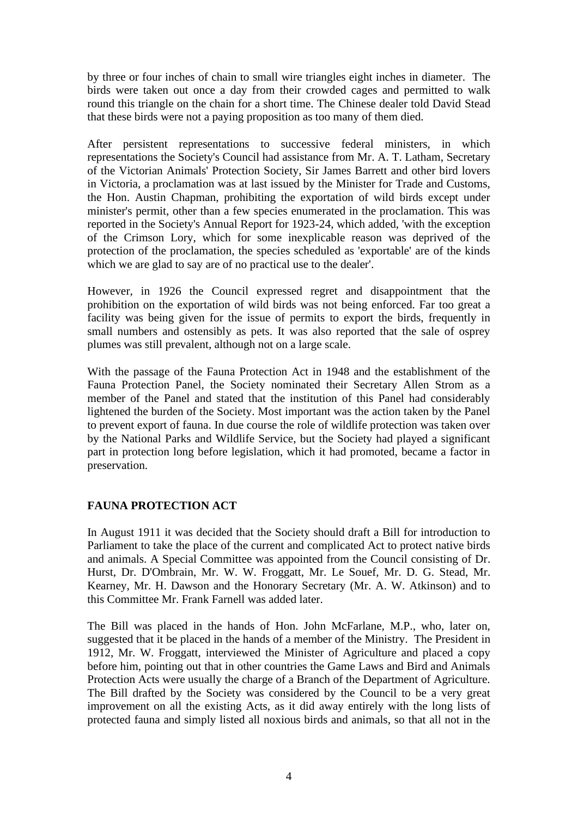by three or four inches of chain to small wire triangles eight inches in diameter. The birds were taken out once a day from their crowded cages and permitted to walk round this triangle on the chain for a short time. The Chinese dealer told David Stead that these birds were not a paying proposition as too many of them died.

After persistent representations to successive federal ministers, in which representations the Society's Council had assistance from Mr. A. T. Latham, Secretary of the Victorian Animals' Protection Society, Sir James Barrett and other bird lovers in Victoria, a proclamation was at last issued by the Minister for Trade and Customs, the Hon. Austin Chapman, prohibiting the exportation of wild birds except under minister's permit, other than a few species enumerated in the proclamation. This was reported in the Society's Annual Report for 1923-24, which added, 'with the exception of the Crimson Lory, which for some inexplicable reason was deprived of the protection of the proclamation, the species scheduled as 'exportable' are of the kinds which we are glad to say are of no practical use to the dealer'.

However, in 1926 the Council expressed regret and disappointment that the prohibition on the exportation of wild birds was not being enforced. Far too great a facility was being given for the issue of permits to export the birds, frequently in small numbers and ostensibly as pets. It was also reported that the sale of osprey plumes was still prevalent, although not on a large scale.

With the passage of the Fauna Protection Act in 1948 and the establishment of the Fauna Protection Panel, the Society nominated their Secretary Allen Strom as a member of the Panel and stated that the institution of this Panel had considerably lightened the burden of the Society. Most important was the action taken by the Panel to prevent export of fauna. In due course the role of wildlife protection was taken over by the National Parks and Wildlife Service, but the Society had played a significant part in protection long before legislation, which it had promoted, became a factor in preservation.

## **FAUNA PROTECTION ACT**

In August 1911 it was decided that the Society should draft a Bill for introduction to Parliament to take the place of the current and complicated Act to protect native birds and animals. A Special Committee was appointed from the Council consisting of Dr. Hurst, Dr. D'Ombrain, Mr. W. W. Froggatt, Mr. Le Souef, Mr. D. G. Stead, Mr. Kearney, Mr. H. Dawson and the Honorary Secretary (Mr. A. W. Atkinson) and to this Committee Mr. Frank Farnell was added later.

The Bill was placed in the hands of Hon. John McFarlane, M.P., who, later on, suggested that it be placed in the hands of a member of the Ministry. The President in 1912, Mr. W. Froggatt, interviewed the Minister of Agriculture and placed a copy before him, pointing out that in other countries the Game Laws and Bird and Animals Protection Acts were usually the charge of a Branch of the Department of Agriculture. The Bill drafted by the Society was considered by the Council to be a very great improvement on all the existing Acts, as it did away entirely with the long lists of protected fauna and simply listed all noxious birds and animals, so that all not in the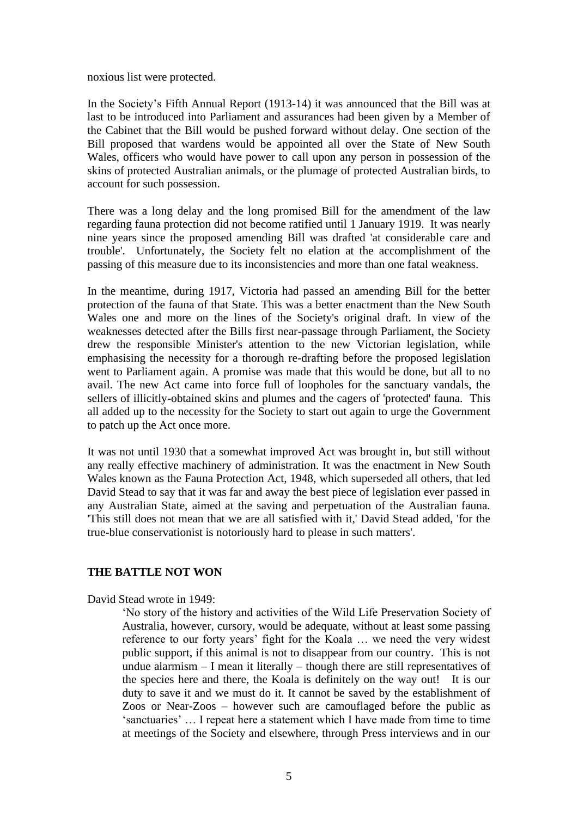noxious list were protected.

In the Society's Fifth Annual Report (1913-14) it was announced that the Bill was at last to be introduced into Parliament and assurances had been given by a Member of the Cabinet that the Bill would be pushed forward without delay. One section of the Bill proposed that wardens would be appointed all over the State of New South Wales, officers who would have power to call upon any person in possession of the skins of protected Australian animals, or the plumage of protected Australian birds, to account for such possession.

There was a long delay and the long promised Bill for the amendment of the law regarding fauna protection did not become ratified until 1 January 1919. It was nearly nine years since the proposed amending Bill was drafted 'at considerable care and trouble'. Unfortunately, the Society felt no elation at the accomplishment of the passing of this measure due to its inconsistencies and more than one fatal weakness.

In the meantime, during 1917, Victoria had passed an amending Bill for the better protection of the fauna of that State. This was a better enactment than the New South Wales one and more on the lines of the Society's original draft. In view of the weaknesses detected after the Bills first near-passage through Parliament, the Society drew the responsible Minister's attention to the new Victorian legislation, while emphasising the necessity for a thorough re-drafting before the proposed legislation went to Parliament again. A promise was made that this would be done, but all to no avail. The new Act came into force full of loopholes for the sanctuary vandals, the sellers of illicitly-obtained skins and plumes and the cagers of 'protected' fauna. This all added up to the necessity for the Society to start out again to urge the Government to patch up the Act once more.

It was not until 1930 that a somewhat improved Act was brought in, but still without any really effective machinery of administration. It was the enactment in New South Wales known as the Fauna Protection Act, 1948, which superseded all others, that led David Stead to say that it was far and away the best piece of legislation ever passed in any Australian State, aimed at the saving and perpetuation of the Australian fauna. 'This still does not mean that we are all satisfied with it,' David Stead added, 'for the true-blue conservationist is notoriously hard to please in such matters'.

### **THE BATTLE NOT WON**

David Stead wrote in 1949:

'No story of the history and activities of the Wild Life Preservation Society of Australia, however, cursory, would be adequate, without at least some passing reference to our forty years' fight for the Koala … we need the very widest public support, if this animal is not to disappear from our country. This is not undue alarmism – I mean it literally – though there are still representatives of the species here and there, the Koala is definitely on the way out! It is our duty to save it and we must do it. It cannot be saved by the establishment of Zoos or Near-Zoos – however such are camouflaged before the public as 'sanctuaries' … I repeat here a statement which I have made from time to time at meetings of the Society and elsewhere, through Press interviews and in our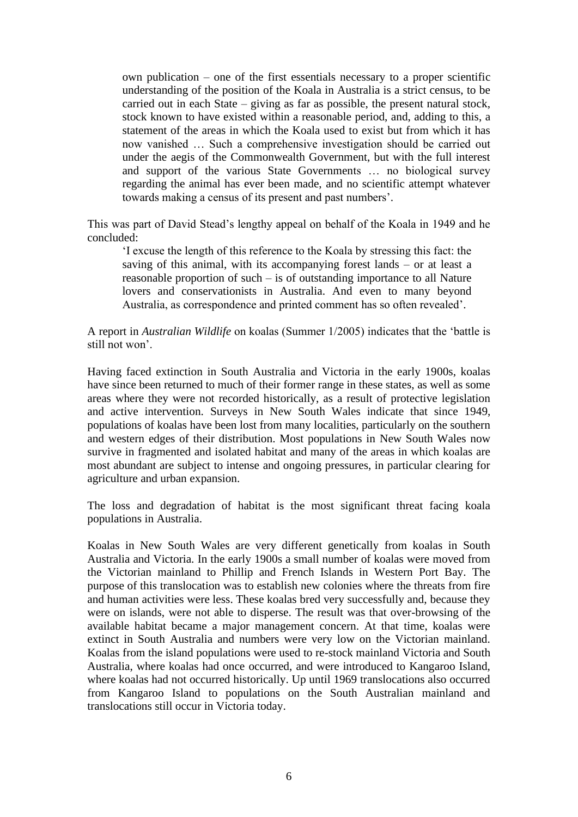own publication – one of the first essentials necessary to a proper scientific understanding of the position of the Koala in Australia is a strict census, to be carried out in each State – giving as far as possible, the present natural stock, stock known to have existed within a reasonable period, and, adding to this, a statement of the areas in which the Koala used to exist but from which it has now vanished … Such a comprehensive investigation should be carried out under the aegis of the Commonwealth Government, but with the full interest and support of the various State Governments … no biological survey regarding the animal has ever been made, and no scientific attempt whatever towards making a census of its present and past numbers'.

This was part of David Stead's lengthy appeal on behalf of the Koala in 1949 and he concluded:

'I excuse the length of this reference to the Koala by stressing this fact: the saving of this animal, with its accompanying forest lands – or at least a reasonable proportion of such – is of outstanding importance to all Nature lovers and conservationists in Australia. And even to many beyond Australia, as correspondence and printed comment has so often revealed'.

A report in *Australian Wildlife* on koalas (Summer 1/2005) indicates that the 'battle is still not won'.

Having faced extinction in South Australia and Victoria in the early 1900s, koalas have since been returned to much of their former range in these states, as well as some areas where they were not recorded historically, as a result of protective legislation and active intervention. Surveys in New South Wales indicate that since 1949, populations of koalas have been lost from many localities, particularly on the southern and western edges of their distribution. Most populations in New South Wales now survive in fragmented and isolated habitat and many of the areas in which koalas are most abundant are subject to intense and ongoing pressures, in particular clearing for agriculture and urban expansion.

The loss and degradation of habitat is the most significant threat facing koala populations in Australia.

Koalas in New South Wales are very different genetically from koalas in South Australia and Victoria. In the early 1900s a small number of koalas were moved from the Victorian mainland to Phillip and French Islands in Western Port Bay. The purpose of this translocation was to establish new colonies where the threats from fire and human activities were less. These koalas bred very successfully and, because they were on islands, were not able to disperse. The result was that over-browsing of the available habitat became a major management concern. At that time, koalas were extinct in South Australia and numbers were very low on the Victorian mainland. Koalas from the island populations were used to re-stock mainland Victoria and South Australia, where koalas had once occurred, and were introduced to Kangaroo Island, where koalas had not occurred historically. Up until 1969 translocations also occurred from Kangaroo Island to populations on the South Australian mainland and translocations still occur in Victoria today.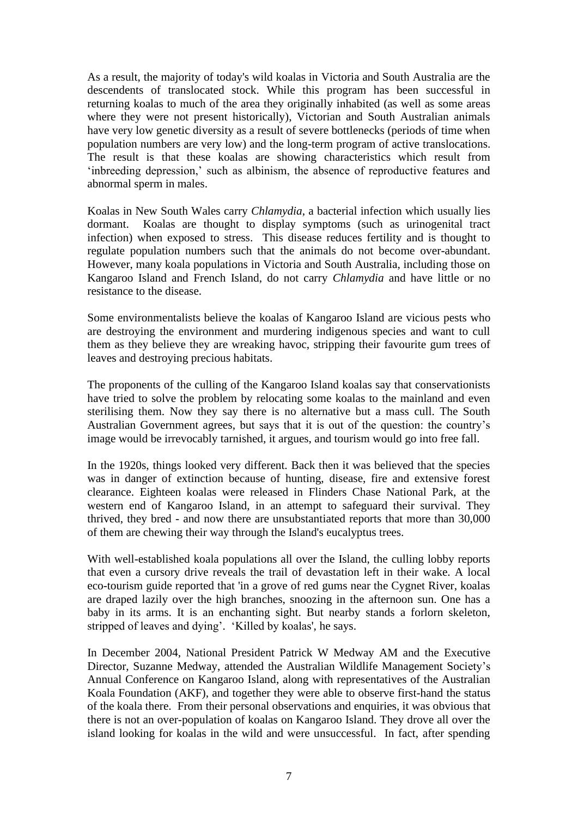As a result, the majority of today's wild koalas in Victoria and South Australia are the descendents of translocated stock. While this program has been successful in returning koalas to much of the area they originally inhabited (as well as some areas where they were not present historically), Victorian and South Australian animals have very low genetic diversity as a result of severe bottlenecks (periods of time when population numbers are very low) and the long-term program of active translocations. The result is that these koalas are showing characteristics which result from 'inbreeding depression,' such as albinism, the absence of reproductive features and abnormal sperm in males.

Koalas in New South Wales carry *Chlamydia*, a bacterial infection which usually lies dormant. Koalas are thought to display symptoms (such as urinogenital tract infection) when exposed to stress. This disease reduces fertility and is thought to regulate population numbers such that the animals do not become over-abundant. However, many koala populations in Victoria and South Australia, including those on Kangaroo Island and French Island, do not carry *Chlamydia* and have little or no resistance to the disease.

Some environmentalists believe the koalas of Kangaroo Island are vicious pests who are destroying the environment and murdering indigenous species and want to cull them as they believe they are wreaking havoc, stripping their favourite gum trees of leaves and destroying precious habitats.

The proponents of the culling of the Kangaroo Island koalas say that conservationists have tried to solve the problem by relocating some koalas to the mainland and even sterilising them. Now they say there is no alternative but a mass cull. The South Australian Government agrees, but says that it is out of the question: the country's image would be irrevocably tarnished, it argues, and tourism would go into free fall.

In the 1920s, things looked very different. Back then it was believed that the species was in danger of extinction because of hunting, disease, fire and extensive forest clearance. Eighteen koalas were released in Flinders Chase National Park, at the western end of Kangaroo Island, in an attempt to safeguard their survival. They thrived, they bred - and now there are unsubstantiated reports that more than 30,000 of them are chewing their way through the Island's eucalyptus trees.

With well-established koala populations all over the Island, the culling lobby reports that even a cursory drive reveals the trail of devastation left in their wake. A local eco-tourism guide reported that 'in a grove of red gums near the Cygnet River, koalas are draped lazily over the high branches, snoozing in the afternoon sun. One has a baby in its arms. It is an enchanting sight. But nearby stands a forlorn skeleton, stripped of leaves and dying'. 'Killed by koalas', he says.

In December 2004, National President Patrick W Medway AM and the Executive Director, Suzanne Medway, attended the Australian Wildlife Management Society's Annual Conference on Kangaroo Island, along with representatives of the Australian Koala Foundation (AKF), and together they were able to observe first-hand the status of the koala there. From their personal observations and enquiries, it was obvious that there is not an over-population of koalas on Kangaroo Island. They drove all over the island looking for koalas in the wild and were unsuccessful. In fact, after spending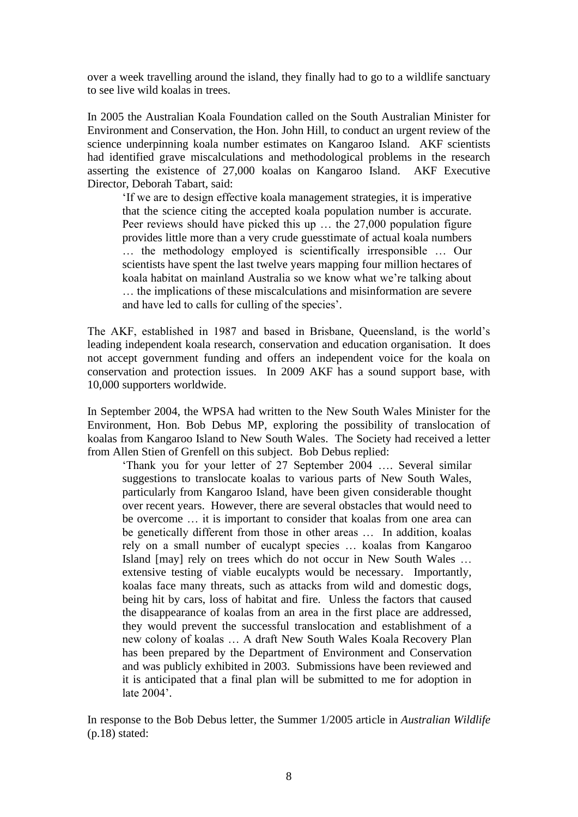over a week travelling around the island, they finally had to go to a wildlife sanctuary to see live wild koalas in trees.

In 2005 the Australian Koala Foundation called on the South Australian Minister for Environment and Conservation, the Hon. John Hill, to conduct an urgent review of the science underpinning koala number estimates on Kangaroo Island. AKF scientists had identified grave miscalculations and methodological problems in the research asserting the existence of 27,000 koalas on Kangaroo Island. AKF Executive Director, Deborah Tabart, said:

'If we are to design effective koala management strategies, it is imperative that the science citing the accepted koala population number is accurate. Peer reviews should have picked this up … the 27,000 population figure provides little more than a very crude guesstimate of actual koala numbers … the methodology employed is scientifically irresponsible … Our scientists have spent the last twelve years mapping four million hectares of koala habitat on mainland Australia so we know what we're talking about … the implications of these miscalculations and misinformation are severe and have led to calls for culling of the species'.

The AKF, established in 1987 and based in Brisbane, Queensland, is the world's leading independent koala research, conservation and education organisation. It does not accept government funding and offers an independent voice for the koala on conservation and protection issues. In 2009 AKF has a sound support base, with 10,000 supporters worldwide.

In September 2004, the WPSA had written to the New South Wales Minister for the Environment, Hon. Bob Debus MP, exploring the possibility of translocation of koalas from Kangaroo Island to New South Wales. The Society had received a letter from Allen Stien of Grenfell on this subject. Bob Debus replied:

'Thank you for your letter of 27 September 2004 …. Several similar suggestions to translocate koalas to various parts of New South Wales, particularly from Kangaroo Island, have been given considerable thought over recent years. However, there are several obstacles that would need to be overcome … it is important to consider that koalas from one area can be genetically different from those in other areas … In addition, koalas rely on a small number of eucalypt species … koalas from Kangaroo Island [may] rely on trees which do not occur in New South Wales … extensive testing of viable eucalypts would be necessary. Importantly, koalas face many threats, such as attacks from wild and domestic dogs, being hit by cars, loss of habitat and fire. Unless the factors that caused the disappearance of koalas from an area in the first place are addressed, they would prevent the successful translocation and establishment of a new colony of koalas … A draft New South Wales Koala Recovery Plan has been prepared by the Department of Environment and Conservation and was publicly exhibited in 2003. Submissions have been reviewed and it is anticipated that a final plan will be submitted to me for adoption in late 2004'.

In response to the Bob Debus letter, the Summer 1/2005 article in *Australian Wildlife* (p.18) stated: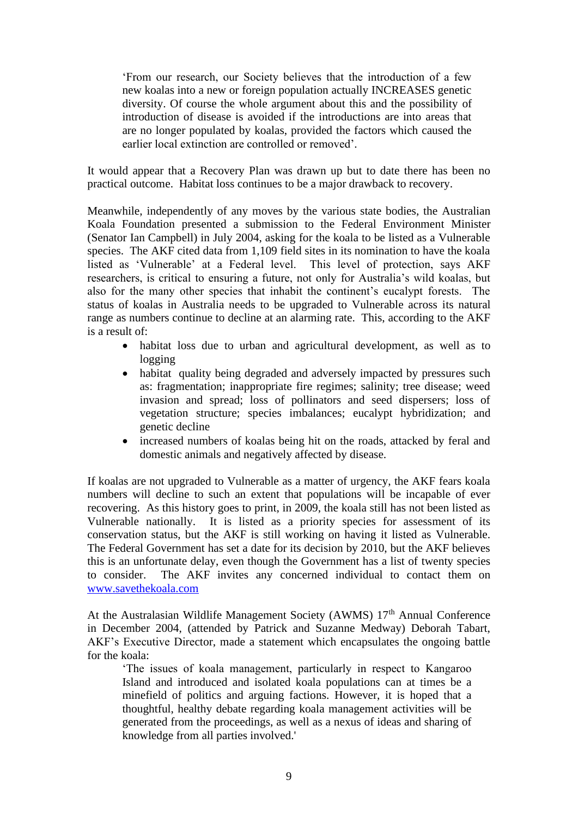'From our research, our Society believes that the introduction of a few new koalas into a new or foreign population actually INCREASES genetic diversity. Of course the whole argument about this and the possibility of introduction of disease is avoided if the introductions are into areas that are no longer populated by koalas, provided the factors which caused the earlier local extinction are controlled or removed'.

It would appear that a Recovery Plan was drawn up but to date there has been no practical outcome. Habitat loss continues to be a major drawback to recovery.

Meanwhile, independently of any moves by the various state bodies, the Australian Koala Foundation presented a submission to the Federal Environment Minister (Senator Ian Campbell) in July 2004, asking for the koala to be listed as a Vulnerable species. The AKF cited data from 1,109 field sites in its nomination to have the koala listed as 'Vulnerable' at a Federal level. This level of protection, says AKF researchers, is critical to ensuring a future, not only for Australia's wild koalas, but also for the many other species that inhabit the continent's eucalypt forests. The status of koalas in Australia needs to be upgraded to Vulnerable across its natural range as numbers continue to decline at an alarming rate. This, according to the AKF is a result of:

- habitat loss due to urban and agricultural development, as well as to logging
- habitat quality being degraded and adversely impacted by pressures such as: fragmentation; inappropriate fire regimes; salinity; tree disease; weed invasion and spread; loss of pollinators and seed dispersers; loss of vegetation structure; species imbalances; eucalypt hybridization; and genetic decline
- increased numbers of koalas being hit on the roads, attacked by feral and domestic animals and negatively affected by disease.

If koalas are not upgraded to Vulnerable as a matter of urgency, the AKF fears koala numbers will decline to such an extent that populations will be incapable of ever recovering. As this history goes to print, in 2009, the koala still has not been listed as Vulnerable nationally. It is listed as a priority species for assessment of its conservation status, but the AKF is still working on having it listed as Vulnerable. The Federal Government has set a date for its decision by 2010, but the AKF believes this is an unfortunate delay, even though the Government has a list of twenty species to consider. The AKF invites any concerned individual to contact them on [www.savethekoala.com](http://www.savethekoala.com/)

At the Australasian Wildlife Management Society (AWMS) 17<sup>th</sup> Annual Conference in December 2004, (attended by Patrick and Suzanne Medway) Deborah Tabart, AKF's Executive Director, made a statement which encapsulates the ongoing battle for the koala:

'The issues of koala management, particularly in respect to Kangaroo Island and introduced and isolated koala populations can at times be a minefield of politics and arguing factions. However, it is hoped that a thoughtful, healthy debate regarding koala management activities will be generated from the proceedings, as well as a nexus of ideas and sharing of knowledge from all parties involved.'